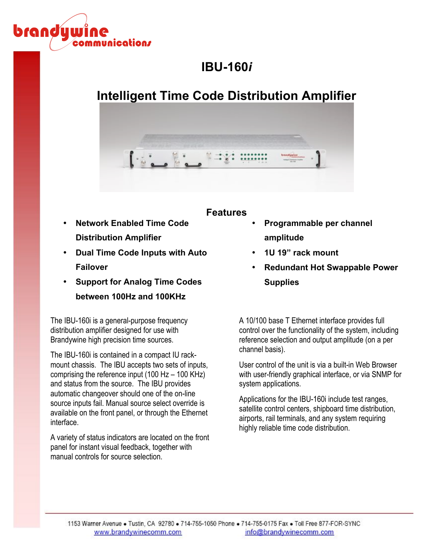

# **IBU-160***i*

# **Intelligent Time Code Distribution Amplifier**



### **Features**

- **Network Enabled Time Code Distribution Amplifier**
- **Dual Time Code Inputs with Auto Failover**
- **Support for Analog Time Codes between 100Hz and 100KHz**

The IBU-160i is a general-purpose frequency distribution amplifier designed for use with Brandywine high precision time sources.

The IBU-160i is contained in a compact IU rackmount chassis. The IBU accepts two sets of inputs, comprising the reference input (100 Hz – 100 KHz) and status from the source. The IBU provides automatic changeover should one of the on-line source inputs fail. Manual source select override is available on the front panel, or through the Ethernet interface.

A variety of status indicators are located on the front panel for instant visual feedback, together with manual controls for source selection.

- **Programmable per channel amplitude**
- **1U 19" rack mount**
- **Redundant Hot Swappable Power Supplies**

A 10/100 base T Ethernet interface provides full control over the functionality of the system, including reference selection and output amplitude (on a per channel basis).

User control of the unit is via a built-in Web Browser with user-friendly graphical interface, or via SNMP for system applications.

Applications for the IBU-160i include test ranges, satellite control centers, shipboard time distribution, airports, rail terminals, and any system requiring highly reliable time code distribution.